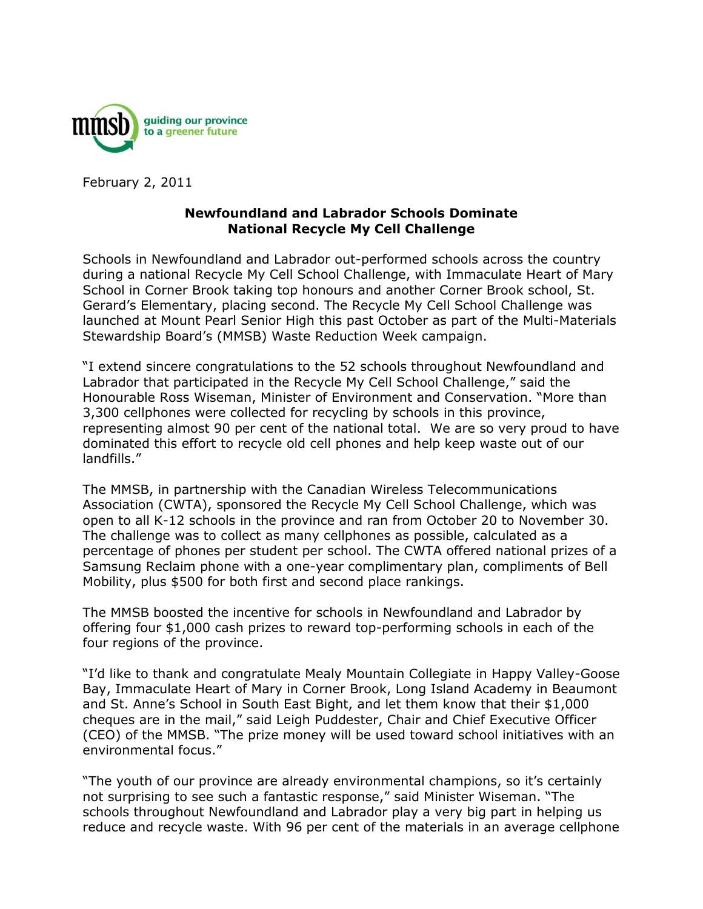

February 2, 2011

## **Newfoundland and Labrador Schools Dominate National Recycle My Cell Challenge**

Schools in Newfoundland and Labrador out-performed schools across the country during a national Recycle My Cell School Challenge, with Immaculate Heart of Mary School in Corner Brook taking top honours and another Corner Brook school, St. Gerard's Elementary, placing second. The Recycle My Cell School Challenge was launched at Mount Pearl Senior High this past October as part of the Multi-Materials Stewardship Board's (MMSB) Waste Reduction Week campaign.

"I extend sincere congratulations to the 52 schools throughout Newfoundland and Labrador that participated in the Recycle My Cell School Challenge," said the Honourable Ross Wiseman, Minister of Environment and Conservation. "More than 3,300 cellphones were collected for recycling by schools in this province, representing almost 90 per cent of the national total. We are so very proud to have dominated this effort to recycle old cell phones and help keep waste out of our landfills."

The MMSB, in partnership with the Canadian Wireless Telecommunications Association (CWTA), sponsored the Recycle My Cell School Challenge, which was open to all K-12 schools in the province and ran from October 20 to November 30. The challenge was to collect as many cellphones as possible, calculated as a percentage of phones per student per school. The CWTA offered national prizes of a Samsung Reclaim phone with a one-year complimentary plan, compliments of Bell Mobility, plus \$500 for both first and second place rankings.

The MMSB boosted the incentive for schools in Newfoundland and Labrador by offering four \$1,000 cash prizes to reward top-performing schools in each of the four regions of the province.

"I'd like to thank and congratulate Mealy Mountain Collegiate in Happy Valley-Goose Bay, Immaculate Heart of Mary in Corner Brook, Long Island Academy in Beaumont and St. Anne's School in South East Bight, and let them know that their \$1,000 cheques are in the mail," said Leigh Puddester, Chair and Chief Executive Officer (CEO) of the MMSB. "The prize money will be used toward school initiatives with an environmental focus."

"The youth of our province are already environmental champions, so it's certainly not surprising to see such a fantastic response," said Minister Wiseman. "The schools throughout Newfoundland and Labrador play a very big part in helping us reduce and recycle waste. With 96 per cent of the materials in an average cellphone